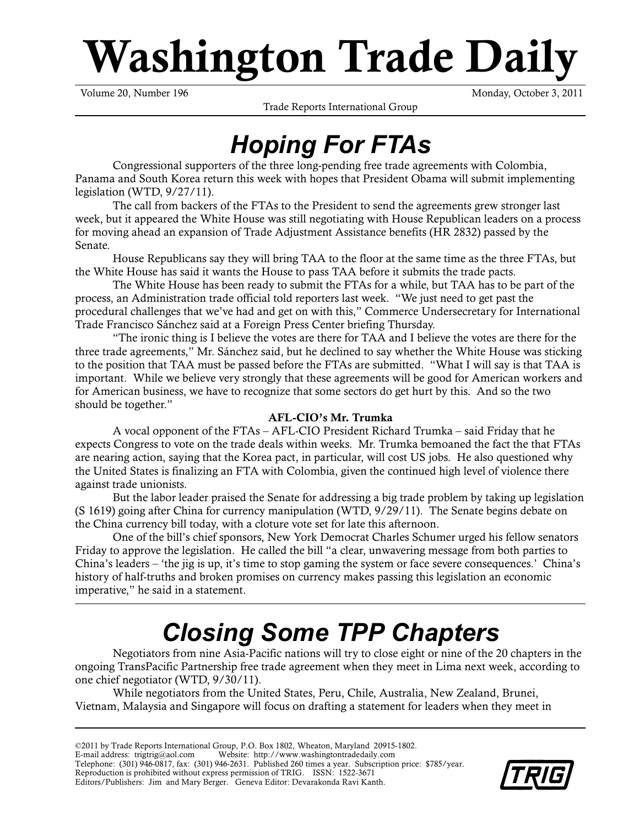# **Washington Trade Daily**

Trade Reports International Group

Volume 20, Number 196 Monday, October 3, 2011

# *Hoping For FTAs*

Congressional supporters of the three long-pending free trade agreements with Colombia, Panama and South Korea return this week with hopes that President Obama will submit implementing legislation (WTD, 9/27/11).

The call from backers of the FTAs to the President to send the agreements grew stronger last week, but it appeared the White House was still negotiating with House Republican leaders on a process for moving ahead an expansion of Trade Adjustment Assistance benefits (HR 2832) passed by the Senate.

House Republicans say they will bring TAA to the floor at the same time as the three FTAs, but the White House has said it wants the House to pass TAA before it submits the trade pacts.

The White House has been ready to submit the FTAs for a while, but TAA has to be part of the process, an Administration trade official told reporters last week. "We just need to get past the procedural challenges that we've had and get on with this," Commerce Undersecretary for International Trade Francisco Sánchez said at a Foreign Press Center briefing Thursday.

"The ironic thing is I believe the votes are there for TAA and I believe the votes are there for the three trade agreements," Mr. Sánchez said, but he declined to say whether the White House was sticking to the position that TAA must be passed before the FTAs are submitted. "What I will say is that TAA is important. While we believe very strongly that these agreements will be good for American workers and for American business, we have to recognize that some sectors do get hurt by this. And so the two should be together."

# **AFL-CIO's Mr. Trumka**

A vocal opponent of the FTAs – AFL-CIO President Richard Trumka – said Friday that he expects Congress to vote on the trade deals within weeks. Mr. Trumka bemoaned the fact the that FTAs are nearing action, saying that the Korea pact, in particular, will cost US jobs. He also questioned why the United States is finalizing an FTA with Colombia, given the continued high level of violence there against trade unionists.

But the labor leader praised the Senate for addressing a big trade problem by taking up legislation (S 1619) going after China for currency manipulation (WTD, 9/29/11). The Senate begins debate on the China currency bill today, with a cloture vote set for late this afternoon.

One of the bill's chief sponsors, New York Democrat Charles Schumer urged his fellow senators Friday to approve the legislation. He called the bill "a clear, unwavering message from both parties to China's leaders – 'the jig is up, it's time to stop gaming the system or face severe consequences.' China's history of half-truths and broken promises on currency makes passing this legislation an economic imperative," he said in a statement.

# *Closing Some TPP Chapters*

Negotiators from nine Asia-Pacific nations will try to close eight or nine of the 20 chapters in the ongoing TransPacific Partnership free trade agreement when they meet in Lima next week, according to one chief negotiator (WTD, 9/30/11).

While negotiators from the United States, Peru, Chile, Australia, New Zealand, Brunei, Vietnam, Malaysia and Singapore will focus on drafting a statement for leaders when they meet in

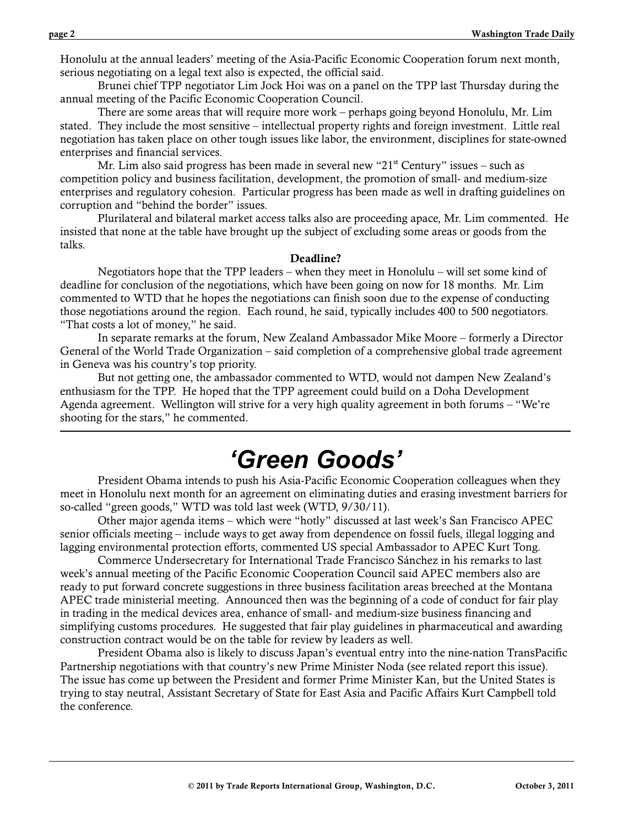Honolulu at the annual leaders' meeting of the Asia-Pacific Economic Cooperation forum next month, serious negotiating on a legal text also is expected, the official said.

Brunei chief TPP negotiator Lim Jock Hoi was on a panel on the TPP last Thursday during the annual meeting of the Pacific Economic Cooperation Council.

There are some areas that will require more work – perhaps going beyond Honolulu, Mr. Lim stated. They include the most sensitive – intellectual property rights and foreign investment. Little real negotiation has taken place on other tough issues like labor, the environment, disciplines for state-owned enterprises and financial services.

Mr. Lim also said progress has been made in several new "21<sup>st</sup> Century" issues – such as competition policy and business facilitation, development, the promotion of small- and medium-size enterprises and regulatory cohesion. Particular progress has been made as well in drafting guidelines on corruption and "behind the border" issues.

Plurilateral and bilateral market access talks also are proceeding apace, Mr. Lim commented. He insisted that none at the table have brought up the subject of excluding some areas or goods from the talks.

#### **Deadline?**

Negotiators hope that the TPP leaders – when they meet in Honolulu – will set some kind of deadline for conclusion of the negotiations, which have been going on now for 18 months. Mr. Lim commented to WTD that he hopes the negotiations can finish soon due to the expense of conducting those negotiations around the region. Each round, he said, typically includes 400 to 500 negotiators. "That costs a lot of money," he said.

In separate remarks at the forum, New Zealand Ambassador Mike Moore – formerly a Director General of the World Trade Organization – said completion of a comprehensive global trade agreement in Geneva was his country's top priority.

But not getting one, the ambassador commented to WTD, would not dampen New Zealand's enthusiasm for the TPP. He hoped that the TPP agreement could build on a Doha Development Agenda agreement. Wellington will strive for a very high quality agreement in both forums – "We're shooting for the stars," he commented.

# *'Green Goods'*

President Obama intends to push his Asia-Pacific Economic Cooperation colleagues when they meet in Honolulu next month for an agreement on eliminating duties and erasing investment barriers for so-called "green goods," WTD was told last week (WTD, 9/30/11).

Other major agenda items – which were "hotly" discussed at last week's San Francisco APEC senior officials meeting – include ways to get away from dependence on fossil fuels, illegal logging and lagging environmental protection efforts, commented US special Ambassador to APEC Kurt Tong.

Commerce Undersecretary for International Trade Francisco Sánchez in his remarks to last week's annual meeting of the Pacific Economic Cooperation Council said APEC members also are ready to put forward concrete suggestions in three business facilitation areas breeched at the Montana APEC trade ministerial meeting. Announced then was the beginning of a code of conduct for fair play in trading in the medical devices area, enhance of small- and medium-size business financing and simplifying customs procedures. He suggested that fair play guidelines in pharmaceutical and awarding construction contract would be on the table for review by leaders as well.

President Obama also is likely to discuss Japan's eventual entry into the nine-nation TransPacific Partnership negotiations with that country's new Prime Minister Noda (see related report this issue). The issue has come up between the President and former Prime Minister Kan, but the United States is trying to stay neutral, Assistant Secretary of State for East Asia and Pacific Affairs Kurt Campbell told the conference.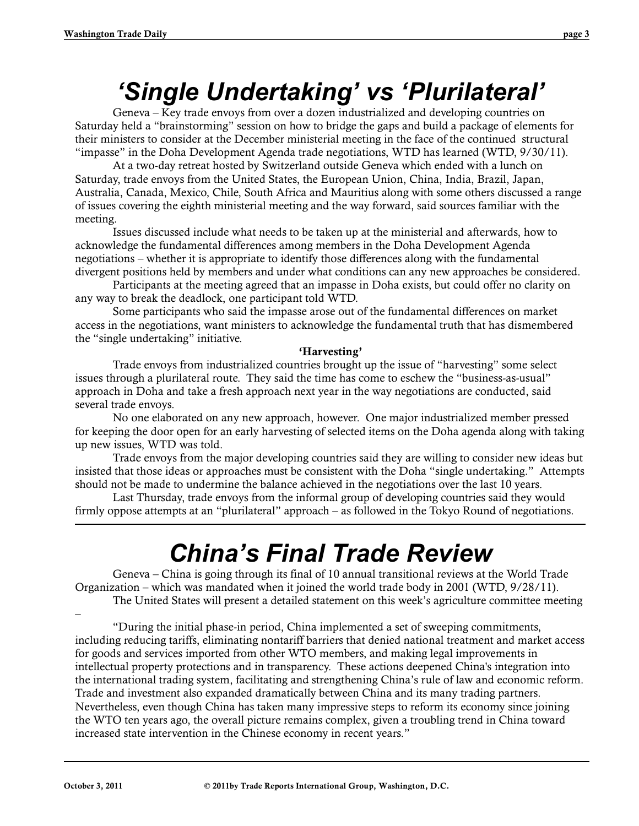# *'Single Undertaking' vs 'Plurilateral'*

Geneva – Key trade envoys from over a dozen industrialized and developing countries on Saturday held a "brainstorming" session on how to bridge the gaps and build a package of elements for their ministers to consider at the December ministerial meeting in the face of the continued structural "impasse" in the Doha Development Agenda trade negotiations, WTD has learned (WTD, 9/30/11).

At a two-day retreat hosted by Switzerland outside Geneva which ended with a lunch on Saturday, trade envoys from the United States, the European Union, China, India, Brazil, Japan, Australia, Canada, Mexico, Chile, South Africa and Mauritius along with some others discussed a range of issues covering the eighth ministerial meeting and the way forward, said sources familiar with the meeting.

Issues discussed include what needs to be taken up at the ministerial and afterwards, how to acknowledge the fundamental differences among members in the Doha Development Agenda negotiations – whether it is appropriate to identify those differences along with the fundamental divergent positions held by members and under what conditions can any new approaches be considered.

Participants at the meeting agreed that an impasse in Doha exists, but could offer no clarity on any way to break the deadlock, one participant told WTD.

Some participants who said the impasse arose out of the fundamental differences on market access in the negotiations, want ministers to acknowledge the fundamental truth that has dismembered the "single undertaking" initiative.

### **'Harvesting'**

Trade envoys from industrialized countries brought up the issue of "harvesting" some select issues through a plurilateral route. They said the time has come to eschew the "business-as-usual" approach in Doha and take a fresh approach next year in the way negotiations are conducted, said several trade envoys.

No one elaborated on any new approach, however. One major industrialized member pressed for keeping the door open for an early harvesting of selected items on the Doha agenda along with taking up new issues, WTD was told.

Trade envoys from the major developing countries said they are willing to consider new ideas but insisted that those ideas or approaches must be consistent with the Doha "single undertaking." Attempts should not be made to undermine the balance achieved in the negotiations over the last 10 years.

Last Thursday, trade envoys from the informal group of developing countries said they would firmly oppose attempts at an "plurilateral" approach – as followed in the Tokyo Round of negotiations.

# *China's Final Trade Review*

Geneva – China is going through its final of 10 annual transitional reviews at the World Trade Organization – which was mandated when it joined the world trade body in 2001 (WTD, 9/28/11). The United States will present a detailed statement on this week's agriculture committee meeting

–

"During the initial phase-in period, China implemented a set of sweeping commitments, including reducing tariffs, eliminating nontariff barriers that denied national treatment and market access for goods and services imported from other WTO members, and making legal improvements in intellectual property protections and in transparency. These actions deepened China's integration into the international trading system, facilitating and strengthening China's rule of law and economic reform. Trade and investment also expanded dramatically between China and its many trading partners. Nevertheless, even though China has taken many impressive steps to reform its economy since joining the WTO ten years ago, the overall picture remains complex, given a troubling trend in China toward increased state intervention in the Chinese economy in recent years."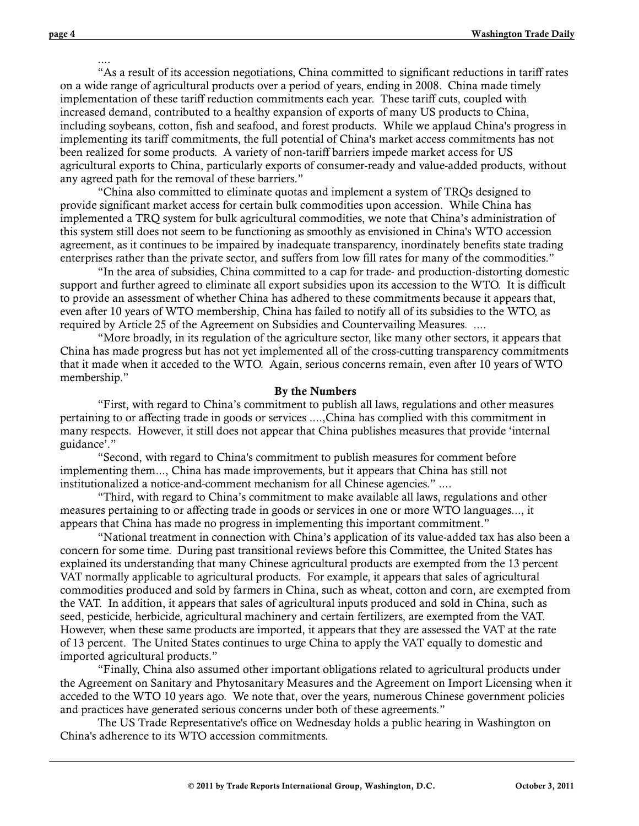"As a result of its accession negotiations, China committed to significant reductions in tariff rates on a wide range of agricultural products over a period of years, ending in 2008. China made timely implementation of these tariff reduction commitments each year. These tariff cuts, coupled with increased demand, contributed to a healthy expansion of exports of many US products to China, including soybeans, cotton, fish and seafood, and forest products. While we applaud China's progress in implementing its tariff commitments, the full potential of China's market access commitments has not been realized for some products. A variety of non-tariff barriers impede market access for US agricultural exports to China, particularly exports of consumer-ready and value-added products, without any agreed path for the removal of these barriers."

"China also committed to eliminate quotas and implement a system of TRQs designed to provide significant market access for certain bulk commodities upon accession. While China has implemented a TRQ system for bulk agricultural commodities, we note that China's administration of this system still does not seem to be functioning as smoothly as envisioned in China's WTO accession agreement, as it continues to be impaired by inadequate transparency, inordinately benefits state trading enterprises rather than the private sector, and suffers from low fill rates for many of the commodities."

"In the area of subsidies, China committed to a cap for trade- and production-distorting domestic support and further agreed to eliminate all export subsidies upon its accession to the WTO. It is difficult to provide an assessment of whether China has adhered to these commitments because it appears that, even after 10 years of WTO membership, China has failed to notify all of its subsidies to the WTO, as required by Article 25 of the Agreement on Subsidies and Countervailing Measures. ....

"More broadly, in its regulation of the agriculture sector, like many other sectors, it appears that China has made progress but has not yet implemented all of the cross-cutting transparency commitments that it made when it acceded to the WTO. Again, serious concerns remain, even after 10 years of WTO membership."

#### **By the Numbers**

"First, with regard to China's commitment to publish all laws, regulations and other measures pertaining to or affecting trade in goods or services ....,China has complied with this commitment in many respects. However, it still does not appear that China publishes measures that provide 'internal guidance'."

"Second, with regard to China's commitment to publish measures for comment before implementing them..., China has made improvements, but it appears that China has still not institutionalized a notice-and-comment mechanism for all Chinese agencies." ....

"Third, with regard to China's commitment to make available all laws, regulations and other measures pertaining to or affecting trade in goods or services in one or more WTO languages..., it appears that China has made no progress in implementing this important commitment."

"National treatment in connection with China's application of its value-added tax has also been a concern for some time. During past transitional reviews before this Committee, the United States has explained its understanding that many Chinese agricultural products are exempted from the 13 percent VAT normally applicable to agricultural products. For example, it appears that sales of agricultural commodities produced and sold by farmers in China, such as wheat, cotton and corn, are exempted from the VAT. In addition, it appears that sales of agricultural inputs produced and sold in China, such as seed, pesticide, herbicide, agricultural machinery and certain fertilizers, are exempted from the VAT. However, when these same products are imported, it appears that they are assessed the VAT at the rate of 13 percent. The United States continues to urge China to apply the VAT equally to domestic and imported agricultural products."

"Finally, China also assumed other important obligations related to agricultural products under the Agreement on Sanitary and Phytosanitary Measures and the Agreement on Import Licensing when it acceded to the WTO 10 years ago. We note that, over the years, numerous Chinese government policies and practices have generated serious concerns under both of these agreements."

The US Trade Representative's office on Wednesday holds a public hearing in Washington on China's adherence to its WTO accession commitments.

....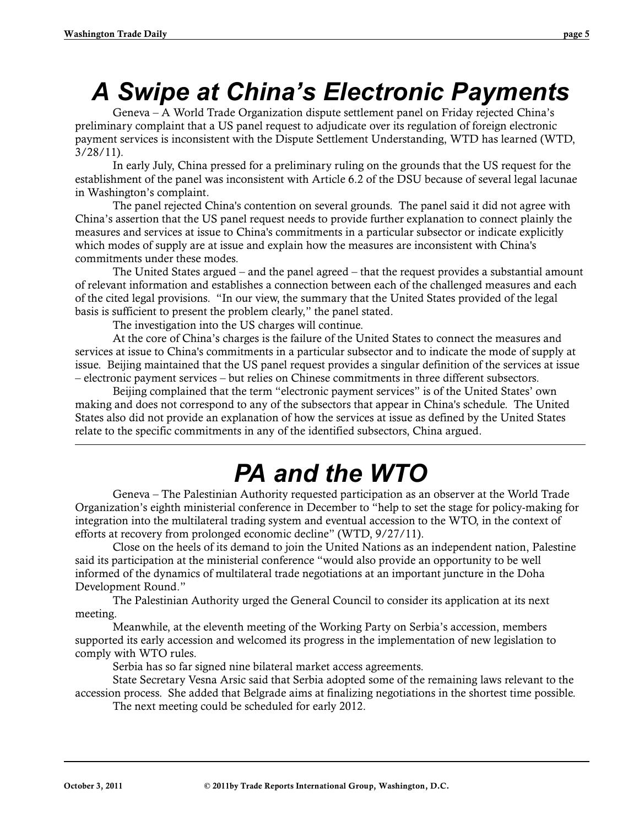# *A Swipe at China's Electronic Payments*

Geneva – A World Trade Organization dispute settlement panel on Friday rejected China's preliminary complaint that a US panel request to adjudicate over its regulation of foreign electronic payment services is inconsistent with the Dispute Settlement Understanding, WTD has learned (WTD, 3/28/11).

In early July, China pressed for a preliminary ruling on the grounds that the US request for the establishment of the panel was inconsistent with Article 6.2 of the DSU because of several legal lacunae in Washington's complaint.

The panel rejected China's contention on several grounds. The panel said it did not agree with China's assertion that the US panel request needs to provide further explanation to connect plainly the measures and services at issue to China's commitments in a particular subsector or indicate explicitly which modes of supply are at issue and explain how the measures are inconsistent with China's commitments under these modes.

The United States argued – and the panel agreed – that the request provides a substantial amount of relevant information and establishes a connection between each of the challenged measures and each of the cited legal provisions. "In our view, the summary that the United States provided of the legal basis is sufficient to present the problem clearly," the panel stated.

The investigation into the US charges will continue.

At the core of China's charges is the failure of the United States to connect the measures and services at issue to China's commitments in a particular subsector and to indicate the mode of supply at issue. Beijing maintained that the US panel request provides a singular definition of the services at issue – electronic payment services – but relies on Chinese commitments in three different subsectors.

Beijing complained that the term "electronic payment services" is of the United States' own making and does not correspond to any of the subsectors that appear in China's schedule. The United States also did not provide an explanation of how the services at issue as defined by the United States relate to the specific commitments in any of the identified subsectors, China argued.

# *PA and the WTO*

Geneva – The Palestinian Authority requested participation as an observer at the World Trade Organization's eighth ministerial conference in December to "help to set the stage for policy-making for integration into the multilateral trading system and eventual accession to the WTO, in the context of efforts at recovery from prolonged economic decline" (WTD, 9/27/11).

Close on the heels of its demand to join the United Nations as an independent nation, Palestine said its participation at the ministerial conference "would also provide an opportunity to be well informed of the dynamics of multilateral trade negotiations at an important juncture in the Doha Development Round."

The Palestinian Authority urged the General Council to consider its application at its next meeting.

Meanwhile, at the eleventh meeting of the Working Party on Serbia's accession, members supported its early accession and welcomed its progress in the implementation of new legislation to comply with WTO rules.

Serbia has so far signed nine bilateral market access agreements.

State Secretary Vesna Arsic said that Serbia adopted some of the remaining laws relevant to the accession process. She added that Belgrade aims at finalizing negotiations in the shortest time possible.

The next meeting could be scheduled for early 2012.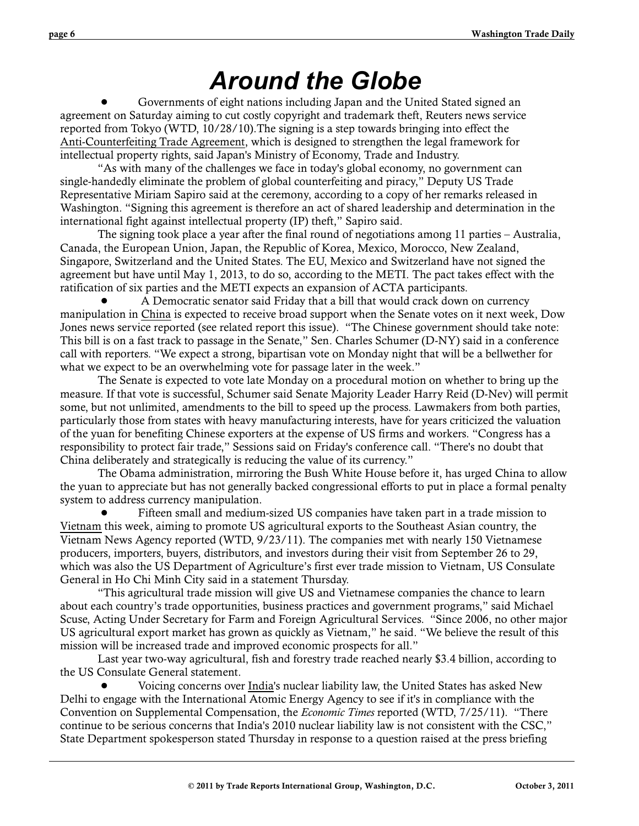# *Around the Globe*

 ! Governments of eight nations including Japan and the United Stated signed an agreement on Saturday aiming to cut costly copyright and trademark theft, Reuters news service reported from Tokyo (WTD, 10/28/10).The signing is a step towards bringing into effect the Anti-Counterfeiting Trade Agreement, which is designed to strengthen the legal framework for intellectual property rights, said Japan's Ministry of Economy, Trade and Industry.

"As with many of the challenges we face in today's global economy, no government can single-handedly eliminate the problem of global counterfeiting and piracy," Deputy US Trade Representative Miriam Sapiro said at the ceremony, according to a copy of her remarks released in Washington. "Signing this agreement is therefore an act of shared leadership and determination in the international fight against intellectual property (IP) theft," Sapiro said.

The signing took place a year after the final round of negotiations among 11 parties – Australia, Canada, the European Union, Japan, the Republic of Korea, Mexico, Morocco, New Zealand, Singapore, Switzerland and the United States. The EU, Mexico and Switzerland have not signed the agreement but have until May 1, 2013, to do so, according to the METI. The pact takes effect with the ratification of six parties and the METI expects an expansion of ACTA participants.

 ! A Democratic senator said Friday that a bill that would crack down on currency manipulation in China is expected to receive broad support when the Senate votes on it next week, Dow Jones news service reported (see related report this issue). "The Chinese government should take note: This bill is on a fast track to passage in the Senate," Sen. Charles Schumer (D-NY) said in a conference call with reporters. "We expect a strong, bipartisan vote on Monday night that will be a bellwether for what we expect to be an overwhelming vote for passage later in the week."

The Senate is expected to vote late Monday on a procedural motion on whether to bring up the measure. If that vote is successful, Schumer said Senate Majority Leader Harry Reid (D-Nev) will permit some, but not unlimited, amendments to the bill to speed up the process. Lawmakers from both parties, particularly those from states with heavy manufacturing interests, have for years criticized the valuation of the yuan for benefiting Chinese exporters at the expense of US firms and workers. "Congress has a responsibility to protect fair trade," Sessions said on Friday's conference call. "There's no doubt that China deliberately and strategically is reducing the value of its currency."

The Obama administration, mirroring the Bush White House before it, has urged China to allow the yuan to appreciate but has not generally backed congressional efforts to put in place a formal penalty system to address currency manipulation.

 ! Fifteen small and medium-sized US companies have taken part in a trade mission to Vietnam this week, aiming to promote US agricultural exports to the Southeast Asian country, the Vietnam News Agency reported (WTD, 9/23/11). The companies met with nearly 150 Vietnamese producers, importers, buyers, distributors, and investors during their visit from September 26 to 29, which was also the US Department of Agriculture's first ever trade mission to Vietnam, US Consulate General in Ho Chi Minh City said in a statement Thursday.

"This agricultural trade mission will give US and Vietnamese companies the chance to learn about each country's trade opportunities, business practices and government programs," said Michael Scuse, Acting Under Secretary for Farm and Foreign Agricultural Services. "Since 2006, no other major US agricultural export market has grown as quickly as Vietnam," he said. "We believe the result of this mission will be increased trade and improved economic prospects for all."

Last year two-way agricultural, fish and forestry trade reached nearly \$3.4 billion, according to the US Consulate General statement.

 ! Voicing concerns over India's nuclear liability law, the United States has asked New Delhi to engage with the International Atomic Energy Agency to see if it's in compliance with the Convention on Supplemental Compensation, the *Economic Times* reported (WTD, 7/25/11). "There continue to be serious concerns that India's 2010 nuclear liability law is not consistent with the CSC," State Department spokesperson stated Thursday in response to a question raised at the press briefing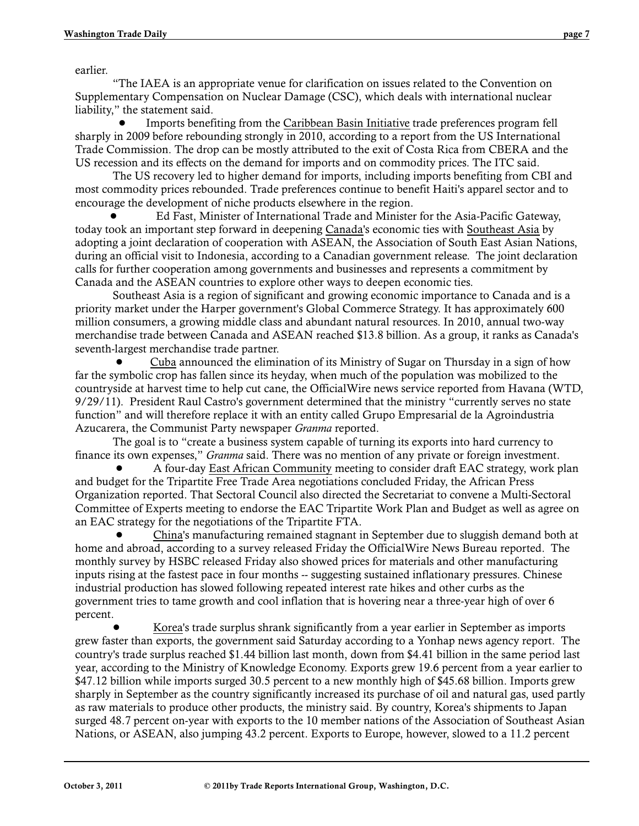earlier.

"The IAEA is an appropriate venue for clarification on issues related to the Convention on Supplementary Compensation on Nuclear Damage (CSC), which deals with international nuclear liability," the statement said.

 ! Imports benefiting from the Caribbean Basin Initiative trade preferences program fell sharply in 2009 before rebounding strongly in 2010, according to a report from the US International Trade Commission. The drop can be mostly attributed to the exit of Costa Rica from CBERA and the US recession and its effects on the demand for imports and on commodity prices. The ITC said.

The US recovery led to higher demand for imports, including imports benefiting from CBI and most commodity prices rebounded. Trade preferences continue to benefit Haiti's apparel sector and to encourage the development of niche products elsewhere in the region.

 ! Ed Fast, Minister of International Trade and Minister for the Asia-Pacific Gateway, today took an important step forward in deepening Canada's economic ties with Southeast Asia by adopting a joint declaration of cooperation with ASEAN, the Association of South East Asian Nations, during an official visit to Indonesia, according to a Canadian government release. The joint declaration calls for further cooperation among governments and businesses and represents a commitment by Canada and the ASEAN countries to explore other ways to deepen economic ties.

Southeast Asia is a region of significant and growing economic importance to Canada and is a priority market under the Harper government's Global Commerce Strategy. It has approximately 600 million consumers, a growing middle class and abundant natural resources. In 2010, annual two-way merchandise trade between Canada and ASEAN reached \$13.8 billion. As a group, it ranks as Canada's seventh-largest merchandise trade partner.

 ! Cuba announced the elimination of its Ministry of Sugar on Thursday in a sign of how far the symbolic crop has fallen since its heyday, when much of the population was mobilized to the countryside at harvest time to help cut cane, the OfficialWire news service reported from Havana (WTD, 9/29/11). President Raul Castro's government determined that the ministry "currently serves no state function" and will therefore replace it with an entity called Grupo Empresarial de la Agroindustria Azucarera, the Communist Party newspaper *Granma* reported.

The goal is to "create a business system capable of turning its exports into hard currency to finance its own expenses," *Granma* said. There was no mention of any private or foreign investment.

 ! A four-day East African Community meeting to consider draft EAC strategy, work plan and budget for the Tripartite Free Trade Area negotiations concluded Friday, the African Press Organization reported. That Sectoral Council also directed the Secretariat to convene a Multi-Sectoral Committee of Experts meeting to endorse the EAC Tripartite Work Plan and Budget as well as agree on an EAC strategy for the negotiations of the Tripartite FTA.

 ! China's manufacturing remained stagnant in September due to sluggish demand both at home and abroad, according to a survey released Friday the OfficialWire News Bureau reported. The monthly survey by HSBC released Friday also showed prices for materials and other manufacturing inputs rising at the fastest pace in four months -- suggesting sustained inflationary pressures. Chinese industrial production has slowed following repeated interest rate hikes and other curbs as the government tries to tame growth and cool inflation that is hovering near a three-year high of over 6 percent.

 ! Korea's trade surplus shrank significantly from a year earlier in September as imports grew faster than exports, the government said Saturday according to a Yonhap news agency report. The country's trade surplus reached \$1.44 billion last month, down from \$4.41 billion in the same period last year, according to the Ministry of Knowledge Economy. Exports grew 19.6 percent from a year earlier to \$47.12 billion while imports surged 30.5 percent to a new monthly high of \$45.68 billion. Imports grew sharply in September as the country significantly increased its purchase of oil and natural gas, used partly as raw materials to produce other products, the ministry said. By country, Korea's shipments to Japan surged 48.7 percent on-year with exports to the 10 member nations of the Association of Southeast Asian Nations, or ASEAN, also jumping 43.2 percent. Exports to Europe, however, slowed to a 11.2 percent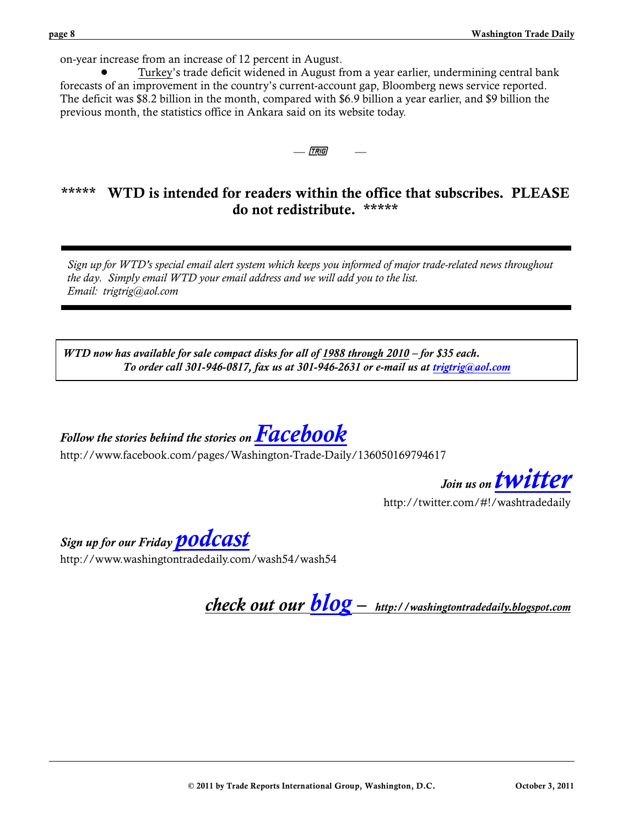on-year increase from an increase of 12 percent in August.

 ! Turkey's trade deficit widened in August from a year earlier, undermining central bank forecasts of an improvement in the country's current-account gap, Bloomberg news service reported. The deficit was \$8.2 billion in the month, compared with \$6.9 billion a year earlier, and \$9 billion the previous month, the statistics office in Ankara said on its website today.

— *[tr*ig]

# **\*\*\*\*\* WTD is intended for readers within the office that subscribes. PLEASE do not redistribute. \*\*\*\*\***

*Sign up for WTD's special email alert system which keeps you informed of major trade-related news throughout the day. Simply email WTD your email address and we will add you to the list. Email: trigtrig@aol.com*

*WTD now has available for sale compact disks for all of 1988 through 2010 – for \$35 each. To order call 301-946-0817, fax us at 301-946-2631 or e-mail us at [trigtrig@aol.com](mailto:trigtrig@aol.com)*

*Follow the stories behind the stories on [Facebook](http://www.facebook.com/pages/Wheaton-MD/Washington-Trade-Daily/136050169794617)*

http://www.facebook.com/pages/Washington-Trade-Daily/136050169794617

*Join us on [twitter](http://twitter.com/#!/washtradedaily)*

http://twitter.com/#!/washtradedaily

*Sign up for our Friday [podcast](http://www.washingtontradedaily.com/wash54/wash54)*

http://www.washingtontradedaily.com/wash54/wash54

*check out our [blog](http://washingtontradedaily.blogspot.com/) – http://washingtontradedaily.blogspot.com*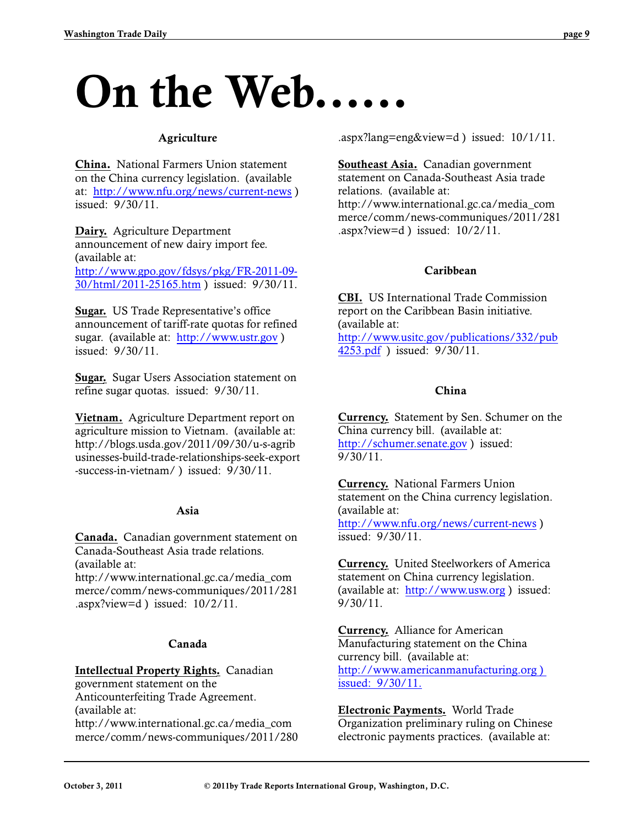# **On the Web...**

### **Agriculture**

**China.** National Farmers Union statement on the China currency legislation. (available at: <http://www.nfu.org/news/current-news> ) issued: 9/30/11.

**Dairy.** Agriculture Department announcement of new dairy import fee. (available at: [http://www.gpo.gov/fdsys/pkg/FR-2011-09-](http://www.gpo.gov/fdsys/pkg/FR-2011-09-30/html/2011-25165.htm) [30/html/2011-25165.htm](http://www.gpo.gov/fdsys/pkg/FR-2011-09-30/html/2011-25165.htm) ) issued: 9/30/11.

**Sugar.** US Trade Representative's office announcement of tariff-rate quotas for refined sugar. (available at: <http://www.ustr.gov> ) issued: 9/30/11.

**Sugar.** Sugar Users Association statement on refine sugar quotas. issued: 9/30/11.

**Vietnam.** Agriculture Department report on agriculture mission to Vietnam. (available at: http://blogs.usda.gov/2011/09/30/u-s-agrib usinesses-build-trade-relationships-seek-export -success-in-vietnam/ ) issued: 9/30/11.

# **Asia**

**Canada.** Canadian government statement on Canada-Southeast Asia trade relations. (available at:

http://www.international.gc.ca/media\_com merce/comm/news-communiques/2011/281 .aspx?view=d ) issued:  $10/2/11$ .

#### **Canada**

#### **Intellectual Property Rights.** Canadian

government statement on the Anticounterfeiting Trade Agreement. (available at: http://www.international.gc.ca/media\_com merce/comm/news-communiques/2011/280 .aspx?lang=eng&view=d ) issued: 10/1/11.

**Southeast Asia.** Canadian government statement on Canada-Southeast Asia trade relations. (available at: http://www.international.gc.ca/media\_com merce/comm/news-communiques/2011/281  $.$ aspx?view=d ) issued:  $10/2/11$ .

#### **Caribbean**

**CBI.** US International Trade Commission report on the Caribbean Basin initiative. (available at: [http://www.usitc.gov/publications/332/pub](http://www.usitc.gov/publications/332/pub4253.pdf) [4253.pdf](http://www.usitc.gov/publications/332/pub4253.pdf) ) issued: 9/30/11.

### **China**

**Currency.** Statement by Sen. Schumer on the China currency bill. (available at: <http://schumer.senate.gov> ) issued: 9/30/11.

**Currency.** National Farmers Union statement on the China currency legislation. (available at: <http://www.nfu.org/news/current-news> ) issued: 9/30/11.

**Currency.** United Steelworkers of America statement on China currency legislation. (available at: <http://www.usw.org> ) issued: 9/30/11.

**Currency.** Alliance for American Manufacturing statement on the China currency bill. (available at: [http://www.americanmanufacturing.org \)](http://www.american)  [issued: 9/30/11.](http://www.american)

**Electronic Payments.** World Trade Organization preliminary ruling on Chinese electronic payments practices. (available at: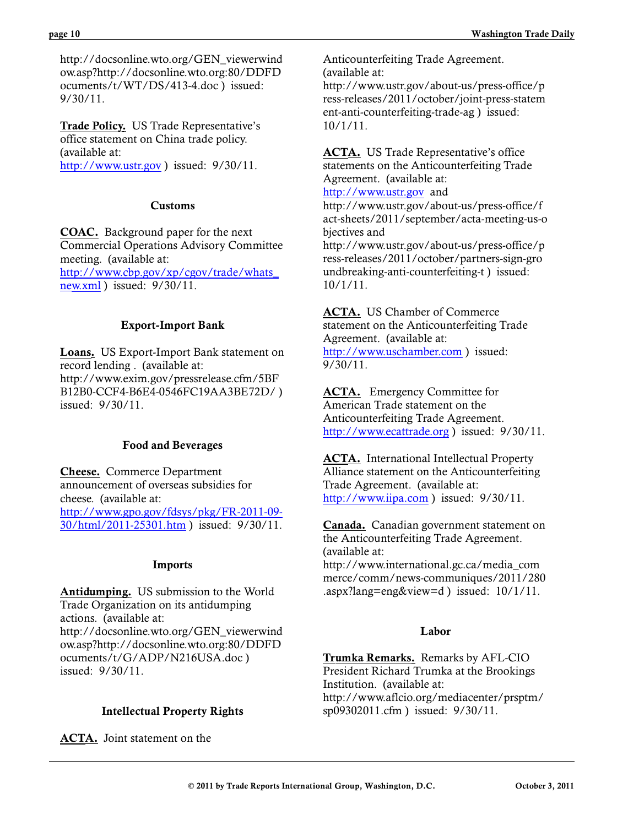http://docsonline.wto.org/GEN\_viewerwind ow.asp?http://docsonline.wto.org:80/DDFD ocuments/t/WT/DS/413-4.doc ) issued: 9/30/11.

**Trade Policy.** US Trade Representative's office statement on China trade policy. (available at: <http://www.ustr.gov> ) issued: 9/30/11.

### **Customs**

**COAC.** Background paper for the next Commercial Operations Advisory Committee meeting. (available at: [http://www.cbp.gov/xp/cgov/trade/whats\\_](http://www.cbp.gov/xp/cgov/trade/whats_new.xml) [new.xml](http://www.cbp.gov/xp/cgov/trade/whats_new.xml) ) issued: 9/30/11.

# **Export-Import Bank**

**Loans.** US Export-Import Bank statement on record lending . (available at: http://www.exim.gov/pressrelease.cfm/5BF B12B0-CCF4-B6E4-0546FC19AA3BE72D/ ) issued: 9/30/11.

# **Food and Beverages**

**Cheese.** Commerce Department announcement of overseas subsidies for cheese. (available at: [http://www.gpo.gov/fdsys/pkg/FR-2011-09-](http://www.gpo.gov/fdsys/pkg/FR-2011-09-30/html/2011-25301.htm) [30/html/2011-25301.htm](http://www.gpo.gov/fdsys/pkg/FR-2011-09-30/html/2011-25301.htm) ) issued: 9/30/11.

# **Imports**

**Antidumping.** US submission to the World Trade Organization on its antidumping actions. (available at: http://docsonline.wto.org/GEN\_viewerwind ow.asp?http://docsonline.wto.org:80/DDFD ocuments/t/G/ADP/N216USA.doc ) issued: 9/30/11.

# **Intellectual Property Rights**

**ACTA.** Joint statement on the

Anticounterfeiting Trade Agreement. (available at: http://www.ustr.gov/about-us/press-office/p ress-releases/2011/october/joint-press-statem ent-anti-counterfeiting-trade-ag ) issued: 10/1/11.

**ACTA.** US Trade Representative's office statements on the Anticounterfeiting Trade Agreement. (available at:

#### <http://www.ustr.gov> and

http://www.ustr.gov/about-us/press-office/f act-sheets/2011/september/acta-meeting-us-o bjectives and

http://www.ustr.gov/about-us/press-office/p ress-releases/2011/october/partners-sign-gro undbreaking-anti-counterfeiting-t ) issued: 10/1/11.

**ACTA.** US Chamber of Commerce statement on the Anticounterfeiting Trade Agreement. (available at: <http://www.uschamber.com> ) issued:  $9/30/11$ .

**ACTA.** Emergency Committee for American Trade statement on the Anticounterfeiting Trade Agreement. <http://www.ecattrade.org> ) issued: 9/30/11.

**ACTA.** International Intellectual Property Alliance statement on the Anticounterfeiting Trade Agreement. (available at: <http://www.iipa.com> ) issued: 9/30/11.

**Canada.** Canadian government statement on the Anticounterfeiting Trade Agreement. (available at: http://www.international.gc.ca/media\_com merce/comm/news-communiques/2011/280

.aspx?lang=eng&view=d ) issued: 10/1/11.

# **Labor**

**Trumka Remarks.** Remarks by AFL-CIO President Richard Trumka at the Brookings Institution. (available at: http://www.aflcio.org/mediacenter/prsptm/ sp09302011.cfm ) issued: 9/30/11.